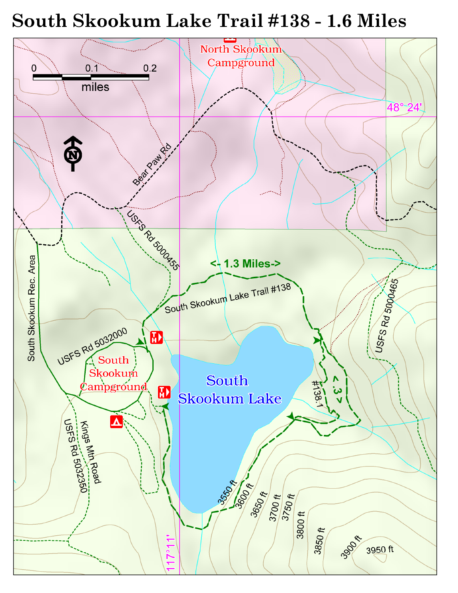# South Skookum Lake Trail #138 - 1.6 Miles